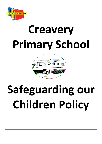

# **Creavery Primary School**



## **Safeguarding our Children Policy**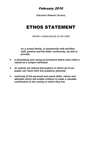### February 2010

**CREAVERY PRIMARY SCHOOL**

### ETHOS STATEMENT

*(Written collaboratively by the staff)*

*As a school family, in partnership with ancillary staff, parents and the wider community, we aim to provide;*

- ➢ **a stimulating and caring environment where each child is valued as a unique individual**
- ➢ **an orderly yet relaxed atmosphere in which all of our pupils can reach their full academic potential**
- ➢ **nurturing of the personal and social skills, values and attitudes which will enable children to make a valuable contribution to the society in which they live**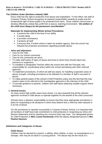#### **Refer in detail to: 'PASTORAL CARE IN SCHOOLS - CHILD PROTECTION' Booklet (DENI CIRCULAR 1999/10)**

#### **The Children Order (Northern Ireland) 1995:**

Every child has the right to protection from abuse and exploitation. To this effect, the staff of Creavery Primary School recognises its pastoral responsibility towards its pupils and the fundamental right of those pupils to be protected from harm. Since children cannot learn or develop effectively unless they profit from a secure, learning environment, "*the welfare of the child must always be the paramount consideration".* 

#### **Rationale for Implementing Whole School Procedures:**

- It protects the child to the best of our ability
- It avoids delay
- It provides consistency
- It protects all staff
- It ensures that, if further action is taken by another agency, then the school has followed the protection procedures regarding possible abuse.

#### **Aims and objectives:**

- $\checkmark$  Care for the child
- $\checkmark$  Care for our school community
- $\checkmark$  Care for the community we serve
- $\checkmark$  To make staff aware of signs of abuse and know to whom they should report any concerns or suspicions;
- $\checkmark$  To establish a Designated Teacher within the school who with the Principal, has responsibility for coordinating action within the school and liaising with other external agencies;
- $\checkmark$  To implement procedures, of which all staff are aware, for handling suspected cases of abuse of pupils, including procedures to be followed if a member of staff is accused of abuse;
- $\checkmark$  To make parents aware of the school's Child Protection policy and the fact that this may require cases to be referred to the investigative agencies in the interests of the child.
- $\checkmark$  To provide guidance to parents, children and staff about obtaining suitable support where necessary.

#### **1. General Issues:**

As many recent high profile cases have shown, it is also essential that all the relevant agencies involved in child abuse co-operate together for the benefit of the child concerned.

Schools have a statutory responsibility to ensure that they have appropriate procedures in place for responding to all situations in which they believe that a child has been abused or is at risk of abuse.

For the procedures to operate successfully in Creavery Primary School, it is important that all members of staff have total commitment to child protection in respecting our ethos (ref. Mission Statement) and by reporting any concerns they may have. Our designated person for Child Protection is **Miss Louise Dunwoody** while the deputy designated person is **Mrs Pauline Davison.**

#### **Definitions and Categories of Abuse:**

#### **Child Abuse:**

Children may be abused by a parent, a sibling, other relative, a carer, an acquaintance or a stranger, who may be an adult or a young person. The abuse may be the result of a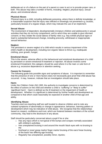deliberate act or of a failure on the part of a parent or carer to act or to provide proper care, or both. This abuse may take a number of forms, including: *Neglect, physical injury, sexual abuse, and emotional abuse.*

#### **Physical Abuse:**

Physical injury to a child, including deliberate poisoning, where there is definite knowledge, or a reasonable suspicion that the injury was inflicted or knowingly not prevented e.g. bruises, particularly bruises of a regular shape, which may indicate the use of an implement.

#### **Sexual Abuse:**

The involvement of dependent, developmentally immature children and adolescents in sexual activities that they do not truly comprehend, and to which they are unable to give informed consent; or they violate the social taboos of family roles e.g. may exhibit physical signs or lead to substantial behavioural change, including precocity, withdrawal or inappropriate sexual behaviour.

#### **Neglect:**

The persistent or severe neglect of a child which results in serious impairment of the child's health or development, including non-organic failure to thrive e.g. inadequate clothing, poor growth, hunger;

#### **Emotional Abuse:**

This is the severe, adverse effect on the behavioural and emotional development of a child by persistent or severe emotional ill treatment or rejection. All abuse involves some emotional ill treatment; this category should be used where it is the main or sole form of abuse e.g. excessive dependence or attention seeking.

#### **Causes for Concern:**

The following guide lists possible signs and symptoms of abuse. It is important to remember that the presence of one or more factors does not necessarily give proof that child abuse has occurred. It may, however, indicate that an investigation should take place.

#### **Harm:**

Under the *Children Order (NI) 1995*, the authority to investigate concerns is determined by the effect of actions on the child and whether a child is *"suffering" or "likely to suffer" 'significant harm'.* Harm is defined as the ill treatment or the impairment of health or development. Whether it is significant is determined by his/her health and development as compared to that which could reasonably be expected of another child of that age and ability.

#### **Identifying Abuse:**

Teachers and non-teaching staff are well located to observe children and to note any outward symptoms of abnormality or change in appearance, behaviour, learning pattern or development which may be indicative of child abuse. We recognise that the relationships based on respect, confidence and trust, which are fostered between members of the school community, may lead to the disclosure of any abuse.

Staff should be particularly concerned about a pupil if he or she:

- o Has any injury which is not typical of the bumps and scrapes normally associated with children's activities;
- o Has unexplained bruising in and around the mouth/ black eyes with no bruising to the
- o forehead or nose/ grasp marks/ finger marks/ bruising of the ears/ linear bruising of the back/ has differing age bruising;
- o Regularly has unexplained, possibly minor, injuries;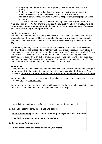- o Frequently has injuries (even when apparently reasonable explanations are given);
- o Confused or conflicting explanations are given on how injuries were sustained exhibits significant changes in behaviour, performance or attitude;
- o Indulges in sexual behaviour which is unusually explicit and/or inappropriate to his or her age;
- o Discloses an experience in which he or she may have been significantly harmed.

#### *(Ref. appendix 1: No list of symptoms can be exhaustive. Also, it must always be remembered that alternative medical, physical, psychological or social explanations may exist for the signs and symptoms listed.)*

#### *Dealing with a Disclosure:*

Staff have an important role in hearing what children have to say. The school can provide a neutral place where the child feels it is safe to talk. Sensitivity to the disclosure is vital. Staff must listen carefully to what the child is saying, treat it seriously, and value what they say.

Children may feel they will not be believed, or that they will be punished. Staff will need to say that whatever has happened it is not their fault. Fear of the consequences of telling is very common. It can be very tempting to offer a promise of confidentiality to the child. This is not realistic. The child needs to hear the truth about what will happen, together with a commitment to support the child. It is crucial not to ask leading questions. For example, a teacher might say, "Tell me what has happened?" rather than, "Did they do...to you?" Our role is to enable the child to speak and then know what to do next.

#### **Procedures:**

Where a member of staff is concerned that abuse may have occurred, he or she must report this immediately to the designated teacher for child protection and/or the Principal. Please remember **no promise of confidentiality can or should be given where abuse is alleged.**

Where a teacher has concerns, they should, as a first step, seek some clarification from the child with tact and understanding.

Where another member of the school's staff has concerns she/he should immediately bring them to the attention of either the designated teacher or Principal.

If a child discloses abuse or staff are suspicious, there are four things to do:

- **1. LISTEN - note the time, date, place and people.**
- *2. Report immediately to Miss Louise Dunwoody (designated Child Protection*

*Teacher), or the Principal if she is not available*

- *3. Do not speak to the parents*
- *4. Do not promise the child that it will be kept a secret*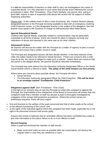It is **not** the responsibility of teachers or other staff to carry out investigations into cases of suspected abuse. It is very important in such cases that prompt action following the correct procedures is taken. (Ref. Procedures - Flow Chart) Similarly, any person who, acting in good faith, reports a case of suspected child abuse will receive the full support of his/her employing authorities.

Please note - In the unlikely event of Miss Louise Dunwoody, Mrs. Pauline Davison (deputy designated teacher) or the Principal not being available to deal with an emergency involving Child Protection issues, or if the designated teacher is the subject of the allegation, then the teacher must speak to the Governor in charge of child protection Miss Helen Bonar.

#### **Special Educational Needs:**

Children with Special Needs, especially related to communication, may be particularly vulnerable to all forms of abuse. Extra care should be taken to interpret correctly any indications of abuse and reported in the same way as for other children.

#### **Subsequent Action:**

Mr Davison will discuss the matter with the Principal as a matter of urgency to plan a course of action and ensure that a written record is made.

The Principal and designated teacher will then decide whether, in the best interests of the child, the matter needs to be referred to Social Services. *If there are concerns that a child may be at risk, the school is obliged to make such a referral.* Unless there are concerns that the parent is the alleged abuser, the parents should be informed immediately.

The Principal may seek advice from the Education Authority Designated Officer or the Senior Social Worker before a referral is made. *The safety of the child remains our first priority.*

Where there are concerns about possible abuse, the Principal will inform

- Social Services
- The Education Authoruity designated Officer for Child Protection. This will be done *in an envelope marked "Confidential- Child Protection".*

#### **Allegations against Staff**: (Ref. Procedures - Flow Chart).

In the light of our school's duty of care the Principal (or where the complaint is against the Principal, the responsibility of the chairperson of the Board of Governors) will ensure that any complaint made that a member of staff has abused a pupil is thoroughly investigated by instigation of the normal child protection procedures. Where the school carries out preliminary enquiries, these will have regard:

- first and foremost to the welfare of the pupil concerned and that of other pupils at the school;
- to the efficient functioning of the school; and
- to the rights of the individual against whom the complaint has been made, especially his or her right to be presumed innocent until proven guilty.

Anyone who knows or believes that an arrestable offence has been committed has a duty to give that information to the police; failure to do so is an offence in itself.

#### **Record Keeping:**

When a pupil has disclosed the member of staff should –

• Make some brief notes as soon as possible after the conversation; not destroy the original notes in case they are needed by a court;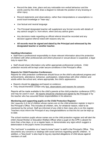- Record the date, time, place and any noticeable non-verbal behaviour and the words used by the child; draw a diagram to indicate the position of any bruising or other injury;
- Record statements and observations, rather than interpretations or assumptions i.e. avoid local knowledge or "hear-say";
- Use factual and neutral language
- The Principal/ designated teacher will supplement any formal records with details of any advice sought i.e. from whom, when and any advice given.
- Any decisions made regarding an official referral should be recorded and any decision against referral noted with reasons why not.
- **All records must be signed and dated by the Principal and witnessed by the designated teacher or another teacher.**

#### **Handling Information:**

• Staff have a professional responsibility to share relevant information about the protection of children with other professionals and where physical or sexual abuse is suspected, a legal duty to report this.

• Staff should share information only within appropriate professional contexts. Child protection records will be kept under secure conditions in the Principal's office.

#### **Reports for Child Protection Conferences:**

Reports for child protection conferences should focus on the child's educational progress and achievements, attendance, behaviour, participation, relationships with other children and adults within the school and, where appropriate, the child's appearance.

- Reports should be objective and based on evidence;
- They should therefore contain only fact, observations and reasons for concern.

Reports will be made available to the child's parents at the child protection conference (CPC) and may be used in court. All reports should be checked and signed by the Principal or by the teacher who has assumed these responsibilities in his absence.

#### **Monitoring and supporting pupils on the Child Protection Register:**

(Ref. Appendix 5) A list of children whose names are on the child protection register is kept in the Principal's Office. This includes all children, who, for whatever reason, need to be monitored by the school. Staff are informed of any child in their class who is on this register. Teachers must inform the Principal of any changes/additions so that this list can be kept up to date.

The school monitors pupils whose names are on the child protection register and will alert the child's Social Worker or Education Welfare Officer when a pupil on the CPR is absent for more than a few days, or on a regular basis, or demonstrates any signs which suggest a deterioration in the pupil's home circumstances.

The "red book" is available on a "need to know" basis" to staff in the Principal's Office. This documents any concerns or dealings with social services regarding specific children. In addition, a "blue book" is also kept to log any reported allegations of child abuse against members of staff.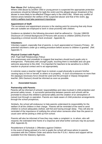#### **Peer Abuse** (Ref. bullying policy):

Where child abuse by another child or young person is suspected the appropriate protection procedures should be followed for both the victim and the alleged abuser (treatment of the abuser is more likely to be effective if begun early in the child's life). Where any conflict of interest arises between the welfare of the suspected abuser and that of the victim, the victim's welfare must take paramount importance.

#### **Appointment of Staff:**

The recruitment and appointment process is the starting point for ensuring that only those who are suitable are employed to work in close proximity with children.

Guidance as detailed in the following document shall be adhered to: Circular 1990/28: Disclosure of Criminal Background of Persons with access to children (DENI) (Form for requesting a criminal records check enclosed - Appendix 6).

#### **Volunteers:**

Voluntary support, especially that of parents, is much appreciated at Creavery Primary. All potential volunteers under go a vetting procedure before access to children is granted. (Ref. Appendix 7)

#### **Physical Contact with Pupils:**

(Ref. Pupil Staff Relationships Policy)

It is unnecessary and unrealistic to suggest that teachers should touch pupils only in emergencies. Particularly with younger pupils, touching them is inevitable and can give welcome assurance to the child. It is important for teachers to be sensitive to a child's reaction to physical contact and to act appropriately.

In extreme cases a teacher might have to restrain a pupil physically to prevent him/her causing injury to him or herself, to others or to property. In such circumstances no more than the minimum necessary force should be used and the principal or Deputy Designated teacher, (Mrs Davison) should be informed as soon as possible.

#### **2. Associated Issues:**

#### **Partnership with Parents**

Parents will be informed of schools' responsibilities and roles involved in child protection and personal safety issues. A successful partnership between parents and schools will be promoted to ensure the children's personal safety and the creation of an atmosphere of mutual trust through co-operation. Parents are made aware of child protection arrangements through the school prospectus,

Similarly, the school will endeavour to help parents understand its responsibility for the welfare of all the children in their charge. Parents will be reminded of the need to send children to school adequately clothed, well fed and having enough sleep. They will also be reminded of the importance of notifying the school when someone other than the parent or usual carer will be picking a child up from school.

Parents will also be informed of how they may make a complaint i.e. to whom, who will respond, the estimated time frame of a response and what further avenues may be pursued. (Ref. Appendix 8).

Resettlement of Schedule 1 Offenders against Children:

In the event of being advised of a risk to pupils the school will issue advice to parents consistent with the Children Order and advice from the P.S.N.I. Advice and support will be available from the Statutory Agencies.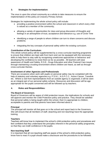#### **3. Strategies for Implementation:**

The onus is upon the school community as a whole to take measures to ensure the implementation of this policy at Creavery Primary School.

Strategies for implementing the whole school policy will include:

- providing a positive environment within the school and classroom in which every child is valued as a member of the community;
- allowing a variety of opportunities for class and group discussion of thoughts and feelings in an atmosphere of trust, acceptance and tolerance e.g. use of Circle Time
- identifying a range of people to whom children can turn to share concerns and discuss problems;
- integrating the key concepts of personal safety within the existing curriculum.

#### **Contribution of the Curriculum:**

This whole school policy will be supplemented by a cross-curricular teaching programme to ensure that children are kept safe from harm and can be equipped with the necessary skills to help them to stay safe by recognising unwelcome approaches or behaviour and developing the confidence to resist them as far as possible. All teachers will raise awareness of Health and Safety, R.S.E., Drugs Education and other Pastoral Care issues through maintaining a trusting environment where children are heard, as well as through cross-curricular themes.

#### **Involvement of other Agencies and Professionals**

There are occasions when work with pupils on personal safety may be completed with the help of statutory and voluntary agencies e.g. P.S.N.I., N.S.P.C.C., Action Cancer, Translink etc. Where a visit from representatives from an outside agency is organised, it will be seen as an integral part of our personal safety scheme. Resources and discussion will be age appropriate for the pupils concerned and will be followed up by teachers.

#### **4. Roles and Responsibilities:**

#### **The Board of Governors**

Board of Governors will be aware of child protection issues, the implications for schools and will approve and monitor the Child Protection policy and practice. They should be satisfied that personal safety is being taught within the school, that it is appropriate to children, acceptable to parents and that parents have been informed about it.

#### **Principal**

The principal will monitor all that goes on in the school and report back to the Governors. She will ensure that all members of staff, (teaching and non-teaching) have the appropriate training.

#### **Teachers**

Teachers will know how to implement the school's child protection policy and procedures and feel confident that they understand the principles inherent in the personal safety programme, so that they can instill confidence in the pupils.

#### **Non-teaching Staff**

It is important that all non-teaching staff are aware of the school's child protection policy, know how to react if a pupil should make a disclosure and the procedures to be followed.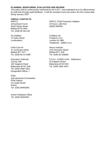#### **PLANNING, MONITORING, EVALUATION AND REVIEW:**

This policy will be continuously monitored by the S.M.T. and evaluated as to its effectiveness by staff and through pupil feedback. It will be reviewed every two years, the first review date being January 2007.

#### **USEFUL CONTACTS:**

Jennymount Court 24 hours, calls free: North Derby Street (0800) 800500 Belfast BT15 3HN Tel. (028) 90 351135

NI Childline Childline UK 74 Duke Street Freepost 1111

Child Care NI Nexus Institute 11 University Street 119 University Street Belfast BT7 1FY Belfast BT7 1HP Tel. (028) 90 23 4499 Tel. (028) 90 326803

County Hall 26 Galgorm Road 182 Galgorm Road Ballymena BT43 5EX Ballymena BT42 1HN Tel. (028) 2566 4014 Tel. (028) 2565 3333 Designated Officer =

PSNI Sub-divisional Commander PSNI Station 24 Castle Street Antrim Tel. (028) 94463555

Antrim Fieldwork Office Tel. (028) 94464031

NSPCC NSPCC Child Protection Helpline

Londonderry London N1 0BR Telephone: (0800) 1111

Education Authority P.S.N.I. (CARE) Units - Ballymena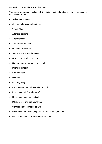#### **Appendix 1: Possible Signs of Abuse**

There may be physical, intellectual, linguistic, emotional and social signs that could be indicative of abuse.

- Soiling and wetting
- Change in behavioural patterns
- 'Frozen' look
- Attention seeking
- Apprehension
- Anti-social behaviour
- Unclean appearance
- Sexually precocious behaviour
- Sexualised drawings and play
- Sudden poor performance in school
- Poor self-esteem
- Self-mutilation
- **Withdrawal**
- Running away
- Reluctance to return home after school
- Resistance to PE (undressing)
- Resistance to school medicals
- Difficulty in forming relationships
- Confusing affectionate displays
- Evidence of bite marks, cigarette burns, bruising, cuts etc.
- Poor attendance repeated infections etc.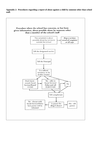**Appendix 2: Procedures regarding a report of abuse against a child by someone other than school staff.**